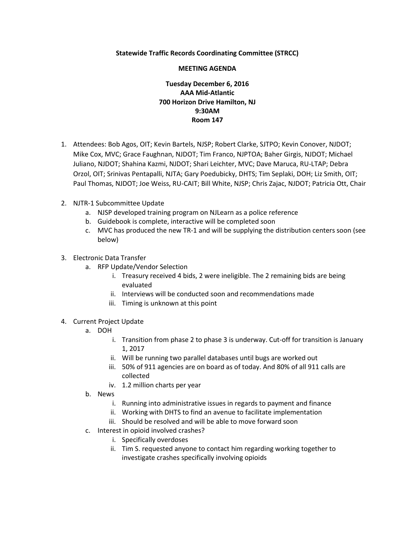## **Statewide Traffic Records Coordinating Committee (STRCC)**

## **MEETING AGENDA**

## **Tuesday December 6, 2016 AAA Mid-Atlantic 700 Horizon Drive Hamilton, NJ 9:30AM Room 147**

- 1. Attendees: Bob Agos, OIT; Kevin Bartels, NJSP; Robert Clarke, SJTPO; Kevin Conover, NJDOT; Mike Cox, MVC; Grace Faughnan, NJDOT; Tim Franco, NJPTOA; Baher Girgis, NJDOT; Michael Juliano, NJDOT; Shahina Kazmi, NJDOT; Shari Leichter, MVC; Dave Maruca, RU-LTAP; Debra Orzol, OIT; Srinivas Pentapalli, NJTA; Gary Poedubicky, DHTS; Tim Seplaki, DOH; Liz Smith, OIT; Paul Thomas, NJDOT; Joe Weiss, RU-CAIT; Bill White, NJSP; Chris Zajac, NJDOT; Patricia Ott, Chair
- 2. NJTR-1 Subcommittee Update
	- a. NJSP developed training program on NJLearn as a police reference
	- b. Guidebook is complete, interactive will be completed soon
	- c. MVC has produced the new TR-1 and will be supplying the distribution centers soon (see below)
- 3. Electronic Data Transfer
	- a. RFP Update/Vendor Selection
		- i. Treasury received 4 bids, 2 were ineligible. The 2 remaining bids are being evaluated
		- ii. Interviews will be conducted soon and recommendations made
		- iii. Timing is unknown at this point
- 4. Current Project Update
	- a. DOH
		- i. Transition from phase 2 to phase 3 is underway. Cut-off for transition is January 1, 2017
		- ii. Will be running two parallel databases until bugs are worked out
		- iii. 50% of 911 agencies are on board as of today. And 80% of all 911 calls are collected
		- iv. 1.2 million charts per year
	- b. News
		- i. Running into administrative issues in regards to payment and finance
		- ii. Working with DHTS to find an avenue to facilitate implementation
		- iii. Should be resolved and will be able to move forward soon
	- c. Interest in opioid involved crashes?
		- i. Specifically overdoses
		- ii. Tim S. requested anyone to contact him regarding working together to investigate crashes specifically involving opioids